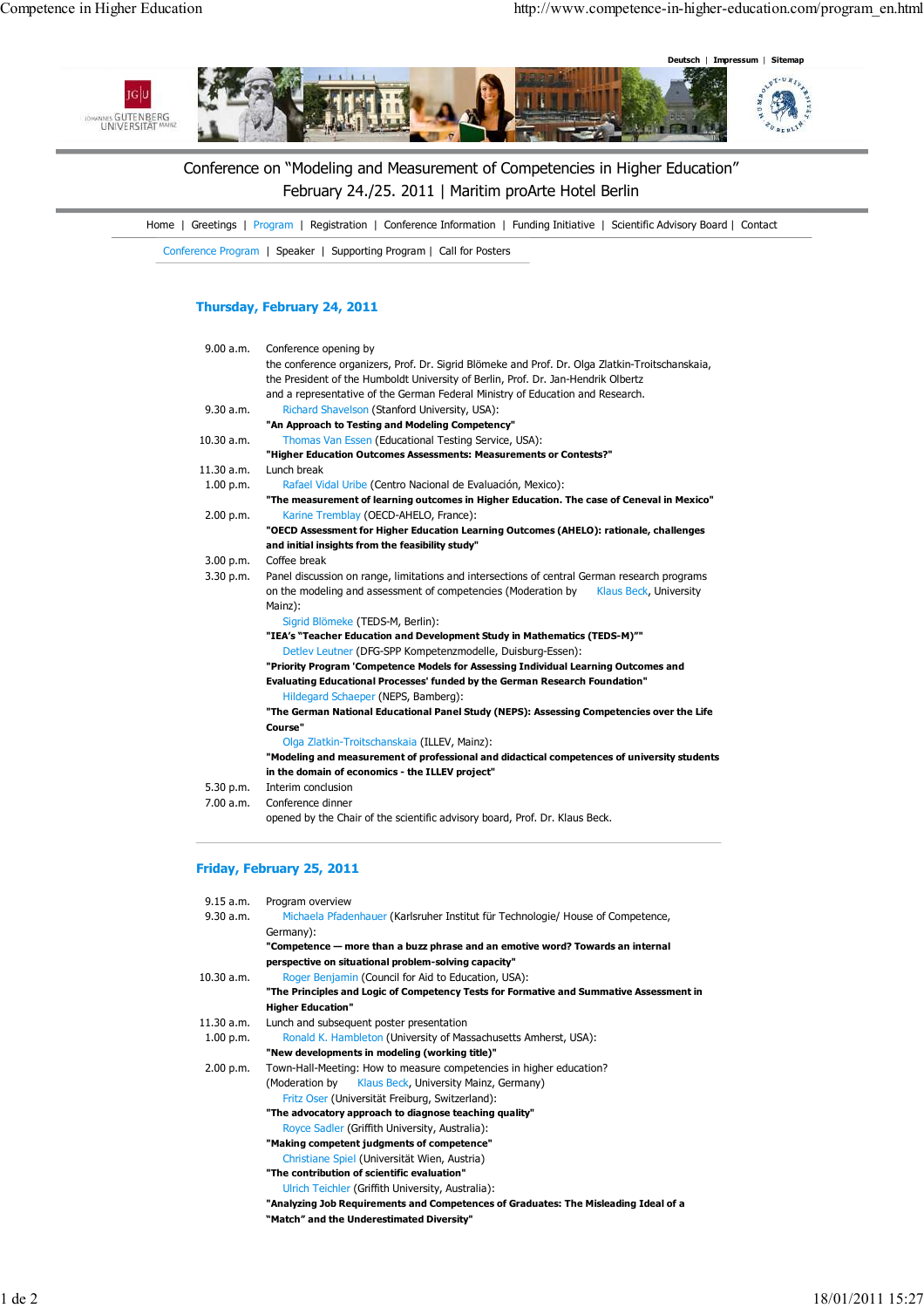

# Conference on "Modeling and Measurement of Competencies in Higher Education" February 24./25. 2011 | Maritim proArte Hotel Berlin

Home | Greetings | Program | Registration | Conference Information | Funding Initiative | Scientific Advisory Board | Contact

Conference Program | Speaker | Supporting Program | Call for Posters

## Thursday, February 24, 2011

| 9.00 a.m.  | Conference opening by                                                                           |  |  |
|------------|-------------------------------------------------------------------------------------------------|--|--|
|            | the conference organizers, Prof. Dr. Sigrid Blömeke and Prof. Dr. Olga Zlatkin-Troitschanskaia, |  |  |
|            | the President of the Humboldt University of Berlin, Prof. Dr. Jan-Hendrik Olbertz               |  |  |
|            | and a representative of the German Federal Ministry of Education and Research.                  |  |  |
| 9.30 a.m.  | Richard Shavelson (Stanford University, USA):                                                   |  |  |
|            | "An Approach to Testing and Modeling Competency"                                                |  |  |
| 10.30 a.m. | Thomas Van Essen (Educational Testing Service, USA):                                            |  |  |
|            | "Higher Education Outcomes Assessments: Measurements or Contests?"                              |  |  |
| 11.30 a.m. | Lunch break                                                                                     |  |  |
| 1.00 p.m.  | Rafael Vidal Uribe (Centro Nacional de Evaluación, Mexico):                                     |  |  |
|            | "The measurement of learning outcomes in Higher Education. The case of Ceneval in Mexico"       |  |  |
| 2.00 p.m.  | Karine Tremblay (OECD-AHELO, France):                                                           |  |  |
|            | "OECD Assessment for Higher Education Learning Outcomes (AHELO): rationale, challenges          |  |  |
|            | and initial insights from the feasibility study"                                                |  |  |
| 3.00 p.m.  | Coffee break                                                                                    |  |  |
| 3.30 p.m.  | Panel discussion on range, limitations and intersections of central German research programs    |  |  |
|            | on the modeling and assessment of competencies (Moderation by<br>Klaus Beck, University         |  |  |
|            | Mainz):                                                                                         |  |  |
|            | Sigrid Blömeke (TEDS-M, Berlin):                                                                |  |  |
|            | "IEA's "Teacher Education and Development Study in Mathematics (TEDS-M)""                       |  |  |
|            | Detlev Leutner (DFG-SPP Kompetenzmodelle, Duisburg-Essen):                                      |  |  |
|            | "Priority Program 'Competence Models for Assessing Individual Learning Outcomes and             |  |  |
|            | <b>Evaluating Educational Processes' funded by the German Research Foundation"</b>              |  |  |
|            | Hildegard Schaeper (NEPS, Bamberg):                                                             |  |  |
|            | "The German National Educational Panel Study (NEPS): Assessing Competencies over the Life       |  |  |
|            | Course"                                                                                         |  |  |
|            | Olga Zlatkin-Troitschanskaia (ILLEV, Mainz):                                                    |  |  |
|            | "Modeling and measurement of professional and didactical competences of university students     |  |  |
|            | in the domain of economics - the ILLEV project"                                                 |  |  |
| 5.30 p.m.  | Interim conclusion                                                                              |  |  |
| 7.00 a.m.  | Conference dinner                                                                               |  |  |
|            | opened by the Chair of the scientific advisory board, Prof. Dr. Klaus Beck.                     |  |  |

### Friday, February 25, 2011

| 9.15 a.m.  | Program overview                                                                        |
|------------|-----------------------------------------------------------------------------------------|
| 9.30 a.m.  |                                                                                         |
|            | Michaela Pfadenhauer (Karlsruher Institut für Technologie/ House of Competence,         |
|            | Germany):                                                                               |
|            | "Competence - more than a buzz phrase and an emotive word? Towards an internal          |
|            | perspective on situational problem-solving capacity"                                    |
| 10.30 a.m. | Roger Benjamin (Council for Aid to Education, USA):                                     |
|            | "The Principles and Logic of Competency Tests for Formative and Summative Assessment in |
|            | <b>Higher Education"</b>                                                                |
| 11.30 a.m. | Lunch and subsequent poster presentation                                                |
| 1.00 p.m.  | Ronald K. Hambleton (University of Massachusetts Amherst, USA):                         |
|            | "New developments in modeling (working title)"                                          |
| 2.00 p.m.  | Town-Hall-Meeting: How to measure competencies in higher education?                     |
|            | (Moderation by<br>Klaus Beck, University Mainz, Germany)                                |
|            | Fritz Oser (Universität Freiburg, Switzerland):                                         |
|            | "The advocatory approach to diagnose teaching quality"                                  |
|            | Royce Sadler (Griffith University, Australia):                                          |
|            | "Making competent judgments of competence"                                              |
|            | Christiane Spiel (Universität Wien, Austria)                                            |
|            | "The contribution of scientific evaluation"                                             |
|            | Ulrich Teichler (Griffith University, Australia):                                       |
|            | "Analyzing Job Requirements and Competences of Graduates: The Misleading Ideal of a     |
|            | "Match" and the Underestimated Diversity"                                               |
|            |                                                                                         |